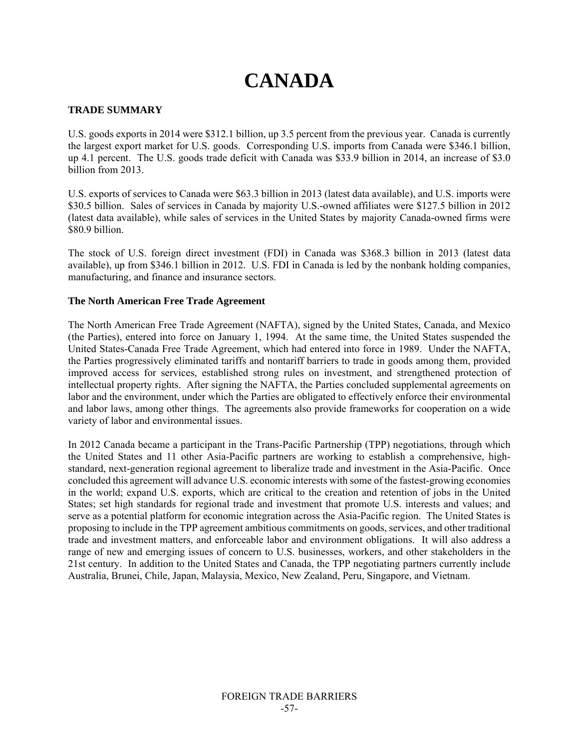# **CANADA**

## **TRADE SUMMARY**

U.S. goods exports in 2014 were \$312.1 billion, up 3.5 percent from the previous year. Canada is currently the largest export market for U.S. goods. Corresponding U.S. imports from Canada were \$346.1 billion, up 4.1 percent. The U.S. goods trade deficit with Canada was \$33.9 billion in 2014, an increase of \$3.0 billion from 2013.

U.S. exports of services to Canada were \$63.3 billion in 2013 (latest data available), and U.S. imports were \$30.5 billion. Sales of services in Canada by majority U.S.-owned affiliates were \$127.5 billion in 2012 (latest data available), while sales of services in the United States by majority Canada-owned firms were \$80.9 billion.

The stock of U.S. foreign direct investment (FDI) in Canada was \$368.3 billion in 2013 (latest data available), up from \$346.1 billion in 2012. U.S. FDI in Canada is led by the nonbank holding companies, manufacturing, and finance and insurance sectors.

## **The North American Free Trade Agreement**

The North American Free Trade Agreement (NAFTA), signed by the United States, Canada, and Mexico (the Parties), entered into force on January 1, 1994. At the same time, the United States suspended the United States-Canada Free Trade Agreement, which had entered into force in 1989. Under the NAFTA, the Parties progressively eliminated tariffs and nontariff barriers to trade in goods among them, provided improved access for services, established strong rules on investment, and strengthened protection of intellectual property rights. After signing the NAFTA, the Parties concluded supplemental agreements on labor and the environment, under which the Parties are obligated to effectively enforce their environmental and labor laws, among other things. The agreements also provide frameworks for cooperation on a wide variety of labor and environmental issues.

In 2012 Canada became a participant in the Trans-Pacific Partnership (TPP) negotiations, through which the United States and 11 other Asia-Pacific partners are working to establish a comprehensive, highstandard, next-generation regional agreement to liberalize trade and investment in the Asia-Pacific. Once concluded this agreement will advance U.S. economic interests with some of the fastest-growing economies in the world; expand U.S. exports, which are critical to the creation and retention of jobs in the United States; set high standards for regional trade and investment that promote U.S. interests and values; and serve as a potential platform for economic integration across the Asia-Pacific region. The United States is proposing to include in the TPP agreement ambitious commitments on goods, services, and other traditional trade and investment matters, and enforceable labor and environment obligations. It will also address a range of new and emerging issues of concern to U.S. businesses, workers, and other stakeholders in the 21st century. In addition to the United States and Canada, the TPP negotiating partners currently include Australia, Brunei, Chile, Japan, Malaysia, Mexico, New Zealand, Peru, Singapore, and Vietnam.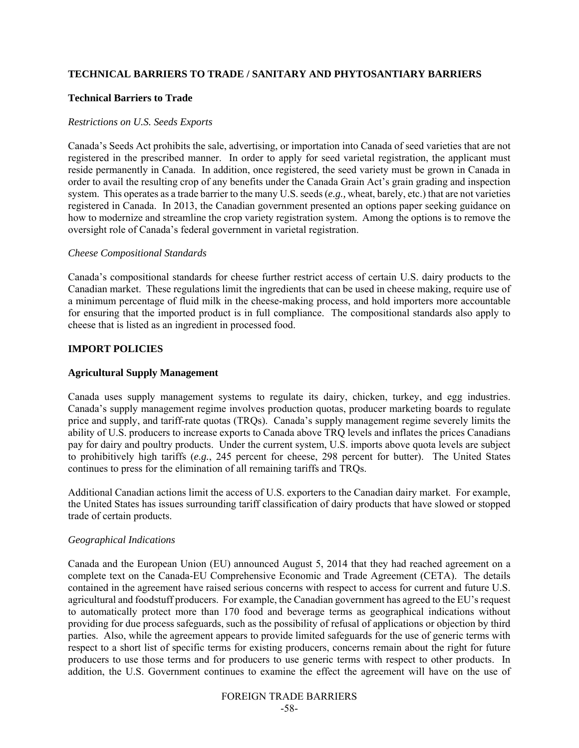## **TECHNICAL BARRIERS TO TRADE / SANITARY AND PHYTOSANTIARY BARRIERS**

#### **Technical Barriers to Trade**

#### *Restrictions on U.S. Seeds Exports*

Canada's Seeds Act prohibits the sale, advertising, or importation into Canada of seed varieties that are not registered in the prescribed manner. In order to apply for seed varietal registration, the applicant must reside permanently in Canada. In addition, once registered, the seed variety must be grown in Canada in order to avail the resulting crop of any benefits under the Canada Grain Act's grain grading and inspection system. This operates as a trade barrier to the many U.S. seeds (*e.g.,* wheat, barely, etc.) that are not varieties registered in Canada. In 2013, the Canadian government presented an options paper seeking guidance on how to modernize and streamline the crop variety registration system. Among the options is to remove the oversight role of Canada's federal government in varietal registration.

#### *Cheese Compositional Standards*

Canada's compositional standards for cheese further restrict access of certain U.S. dairy products to the Canadian market. These regulations limit the ingredients that can be used in cheese making, require use of a minimum percentage of fluid milk in the cheese-making process, and hold importers more accountable for ensuring that the imported product is in full compliance. The compositional standards also apply to cheese that is listed as an ingredient in processed food.

## **IMPORT POLICIES**

### **Agricultural Supply Management**

Canada uses supply management systems to regulate its dairy, chicken, turkey, and egg industries. Canada's supply management regime involves production quotas, producer marketing boards to regulate price and supply, and tariff-rate quotas (TRQs). Canada's supply management regime severely limits the ability of U.S. producers to increase exports to Canada above TRQ levels and inflates the prices Canadians pay for dairy and poultry products. Under the current system, U.S. imports above quota levels are subject to prohibitively high tariffs (*e.g.*, 245 percent for cheese, 298 percent for butter). The United States continues to press for the elimination of all remaining tariffs and TRQs.

Additional Canadian actions limit the access of U.S. exporters to the Canadian dairy market. For example, the United States has issues surrounding tariff classification of dairy products that have slowed or stopped trade of certain products.

## *Geographical Indications*

Canada and the European Union (EU) announced August 5, 2014 that they had reached agreement on a complete text on the Canada-EU Comprehensive Economic and Trade Agreement (CETA). The details contained in the agreement have raised serious concerns with respect to access for current and future U.S. agricultural and foodstuff producers. For example, the Canadian government has agreed to the EU's request to automatically protect more than 170 food and beverage terms as geographical indications without providing for due process safeguards, such as the possibility of refusal of applications or objection by third parties. Also, while the agreement appears to provide limited safeguards for the use of generic terms with respect to a short list of specific terms for existing producers, concerns remain about the right for future producers to use those terms and for producers to use generic terms with respect to other products. In addition, the U.S. Government continues to examine the effect the agreement will have on the use of

## FOREIGN TRADE BARRIERS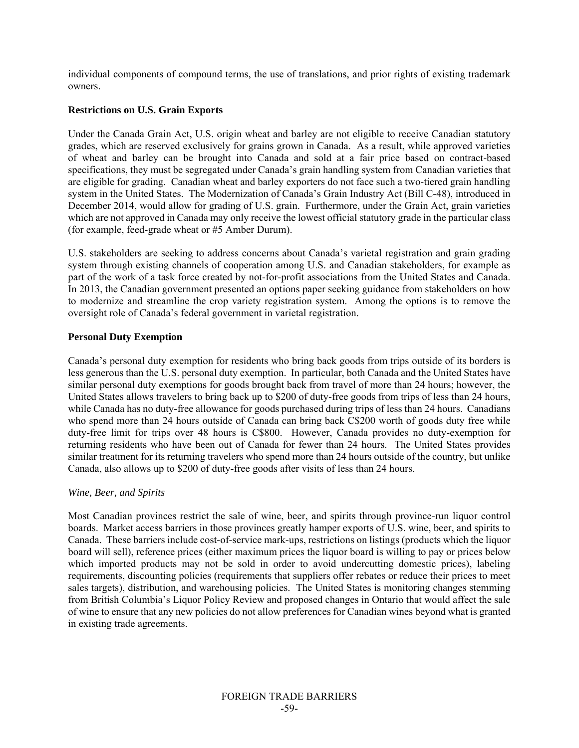individual components of compound terms, the use of translations, and prior rights of existing trademark owners.

## **Restrictions on U.S. Grain Exports**

Under the Canada Grain Act, U.S. origin wheat and barley are not eligible to receive Canadian statutory grades, which are reserved exclusively for grains grown in Canada. As a result, while approved varieties of wheat and barley can be brought into Canada and sold at a fair price based on contract-based specifications, they must be segregated under Canada's grain handling system from Canadian varieties that are eligible for grading. Canadian wheat and barley exporters do not face such a two-tiered grain handling system in the United States. The Modernization of Canada's Grain Industry Act (Bill C-48), introduced in December 2014, would allow for grading of U.S. grain. Furthermore, under the Grain Act, grain varieties which are not approved in Canada may only receive the lowest official statutory grade in the particular class (for example, feed-grade wheat or #5 Amber Durum).

U.S. stakeholders are seeking to address concerns about Canada's varietal registration and grain grading system through existing channels of cooperation among U.S. and Canadian stakeholders, for example as part of the work of a task force created by not-for-profit associations from the United States and Canada. In 2013, the Canadian government presented an options paper seeking guidance from stakeholders on how to modernize and streamline the crop variety registration system. Among the options is to remove the oversight role of Canada's federal government in varietal registration.

## **Personal Duty Exemption**

Canada's personal duty exemption for residents who bring back goods from trips outside of its borders is less generous than the U.S. personal duty exemption. In particular, both Canada and the United States have similar personal duty exemptions for goods brought back from travel of more than 24 hours; however, the United States allows travelers to bring back up to \$200 of duty-free goods from trips of less than 24 hours, while Canada has no duty-free allowance for goods purchased during trips of less than 24 hours. Canadians who spend more than 24 hours outside of Canada can bring back C\$200 worth of goods duty free while duty-free limit for trips over 48 hours is C\$800. However, Canada provides no duty-exemption for returning residents who have been out of Canada for fewer than 24 hours. The United States provides similar treatment for its returning travelers who spend more than 24 hours outside of the country, but unlike Canada, also allows up to \$200 of duty-free goods after visits of less than 24 hours.

## *Wine, Beer, and Spirits*

Most Canadian provinces restrict the sale of wine, beer, and spirits through province-run liquor control boards. Market access barriers in those provinces greatly hamper exports of U.S. wine, beer, and spirits to Canada. These barriers include cost-of-service mark-ups, restrictions on listings (products which the liquor board will sell), reference prices (either maximum prices the liquor board is willing to pay or prices below which imported products may not be sold in order to avoid undercutting domestic prices), labeling requirements, discounting policies (requirements that suppliers offer rebates or reduce their prices to meet sales targets), distribution, and warehousing policies. The United States is monitoring changes stemming from British Columbia's Liquor Policy Review and proposed changes in Ontario that would affect the sale of wine to ensure that any new policies do not allow preferences for Canadian wines beyond what is granted in existing trade agreements.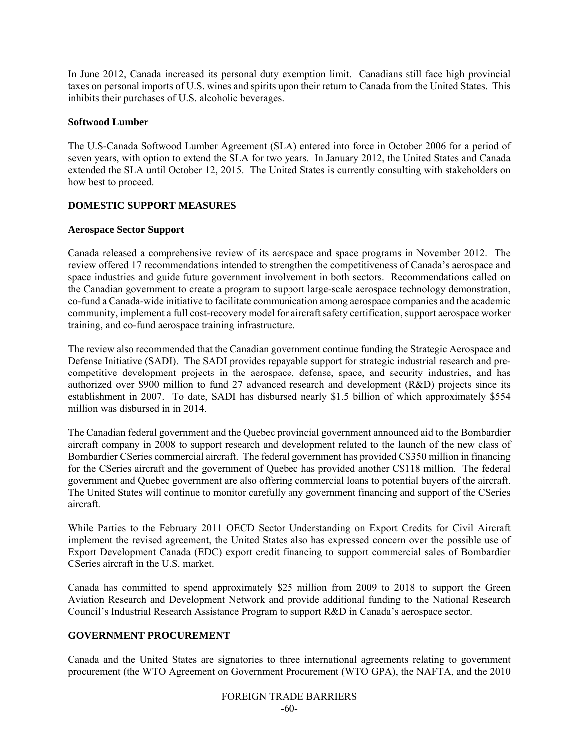In June 2012, Canada increased its personal duty exemption limit. Canadians still face high provincial taxes on personal imports of U.S. wines and spirits upon their return to Canada from the United States. This inhibits their purchases of U.S. alcoholic beverages.

## **Softwood Lumber**

The U.S-Canada Softwood Lumber Agreement (SLA) entered into force in October 2006 for a period of seven years, with option to extend the SLA for two years. In January 2012, the United States and Canada extended the SLA until October 12, 2015. The United States is currently consulting with stakeholders on how best to proceed.

## **DOMESTIC SUPPORT MEASURES**

## **Aerospace Sector Support**

Canada released a comprehensive review of its aerospace and space programs in November 2012. The review offered 17 recommendations intended to strengthen the competitiveness of Canada's aerospace and space industries and guide future government involvement in both sectors. Recommendations called on the Canadian government to create a program to support large-scale aerospace technology demonstration, co-fund a Canada-wide initiative to facilitate communication among aerospace companies and the academic community, implement a full cost-recovery model for aircraft safety certification, support aerospace worker training, and co-fund aerospace training infrastructure.

The review also recommended that the Canadian government continue funding the Strategic Aerospace and Defense Initiative (SADI). The SADI provides repayable support for strategic industrial research and precompetitive development projects in the aerospace, defense, space, and security industries, and has authorized over \$900 million to fund 27 advanced research and development (R&D) projects since its establishment in 2007. To date, SADI has disbursed nearly \$1.5 billion of which approximately \$554 million was disbursed in in 2014.

The Canadian federal government and the Quebec provincial government announced aid to the Bombardier aircraft company in 2008 to support research and development related to the launch of the new class of Bombardier CSeries commercial aircraft. The federal government has provided C\$350 million in financing for the CSeries aircraft and the government of Quebec has provided another C\$118 million. The federal government and Quebec government are also offering commercial loans to potential buyers of the aircraft. The United States will continue to monitor carefully any government financing and support of the CSeries aircraft.

While Parties to the February 2011 OECD Sector Understanding on Export Credits for Civil Aircraft implement the revised agreement, the United States also has expressed concern over the possible use of Export Development Canada (EDC) export credit financing to support commercial sales of Bombardier CSeries aircraft in the U.S. market.

Canada has committed to spend approximately \$25 million from 2009 to 2018 to support the Green Aviation Research and Development Network and provide additional funding to the National Research Council's Industrial Research Assistance Program to support R&D in Canada's aerospace sector.

## **GOVERNMENT PROCUREMENT**

Canada and the United States are signatories to three international agreements relating to government procurement (the WTO Agreement on Government Procurement (WTO GPA), the NAFTA, and the 2010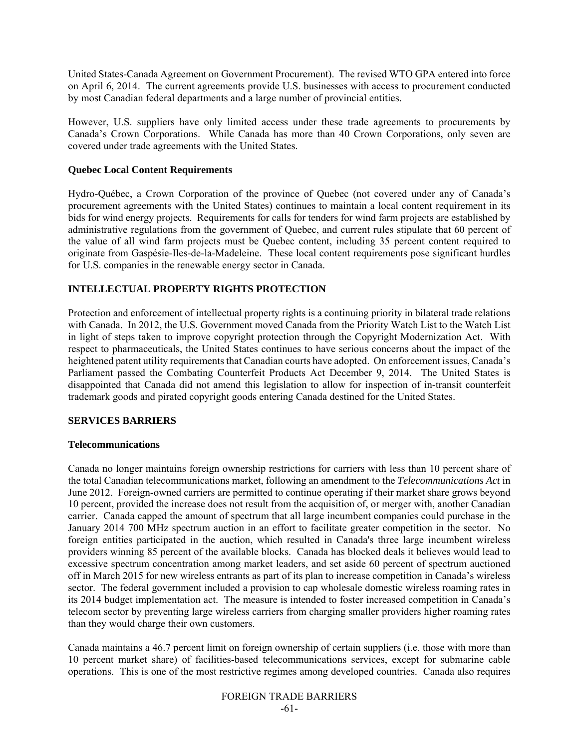United States-Canada Agreement on Government Procurement). The revised WTO GPA entered into force on April 6, 2014. The current agreements provide U.S. businesses with access to procurement conducted by most Canadian federal departments and a large number of provincial entities.

However, U.S. suppliers have only limited access under these trade agreements to procurements by Canada's Crown Corporations. While Canada has more than 40 Crown Corporations, only seven are covered under trade agreements with the United States.

## **Quebec Local Content Requirements**

Hydro-Québec, a Crown Corporation of the province of Quebec (not covered under any of Canada's procurement agreements with the United States) continues to maintain a local content requirement in its bids for wind energy projects. Requirements for calls for tenders for wind farm projects are established by administrative regulations from the government of Quebec, and current rules stipulate that 60 percent of the value of all wind farm projects must be Quebec content, including 35 percent content required to originate from Gaspésie-Iles-de-la-Madeleine. These local content requirements pose significant hurdles for U.S. companies in the renewable energy sector in Canada.

## **INTELLECTUAL PROPERTY RIGHTS PROTECTION**

Protection and enforcement of intellectual property rights is a continuing priority in bilateral trade relations with Canada. In 2012, the U.S. Government moved Canada from the Priority Watch List to the Watch List in light of steps taken to improve copyright protection through the Copyright Modernization Act. With respect to pharmaceuticals, the United States continues to have serious concerns about the impact of the heightened patent utility requirements that Canadian courts have adopted. On enforcement issues, Canada's Parliament passed the Combating Counterfeit Products Act December 9, 2014. The United States is disappointed that Canada did not amend this legislation to allow for inspection of in-transit counterfeit trademark goods and pirated copyright goods entering Canada destined for the United States.

## **SERVICES BARRIERS**

#### **Telecommunications**

Canada no longer maintains foreign ownership restrictions for carriers with less than 10 percent share of the total Canadian telecommunications market, following an amendment to the *Telecommunications Act* in June 2012. Foreign-owned carriers are permitted to continue operating if their market share grows beyond 10 percent, provided the increase does not result from the acquisition of, or merger with, another Canadian carrier. Canada capped the amount of spectrum that all large incumbent companies could purchase in the January 2014 700 MHz spectrum auction in an effort to facilitate greater competition in the sector. No foreign entities participated in the auction, which resulted in Canada's three large incumbent wireless providers winning 85 percent of the available blocks. Canada has blocked deals it believes would lead to excessive spectrum concentration among market leaders, and set aside 60 percent of spectrum auctioned off in March 2015 for new wireless entrants as part of its plan to increase competition in Canada's wireless sector. The federal government included a provision to cap wholesale domestic wireless roaming rates in its 2014 budget implementation act. The measure is intended to foster increased competition in Canada's telecom sector by preventing large wireless carriers from charging smaller providers higher roaming rates than they would charge their own customers.

Canada maintains a 46.7 percent limit on foreign ownership of certain suppliers (i.e. those with more than 10 percent market share) of facilities-based telecommunications services, except for submarine cable operations. This is one of the most restrictive regimes among developed countries. Canada also requires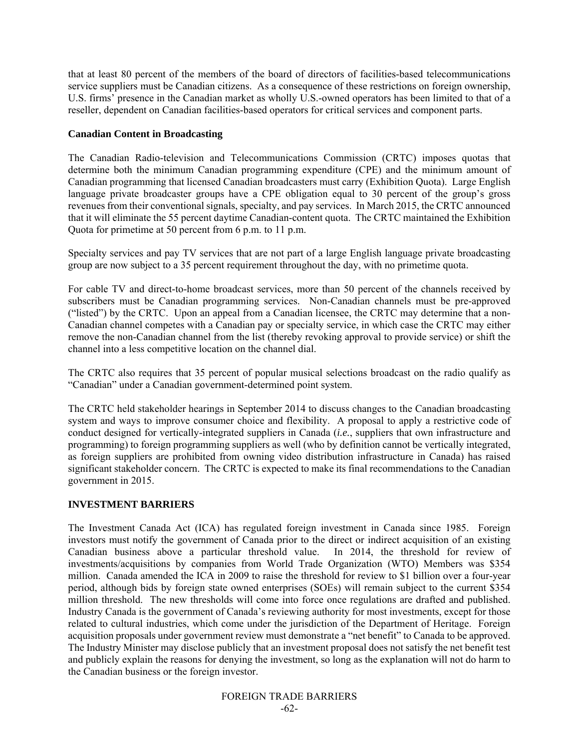that at least 80 percent of the members of the board of directors of facilities-based telecommunications service suppliers must be Canadian citizens. As a consequence of these restrictions on foreign ownership, U.S. firms' presence in the Canadian market as wholly U.S.-owned operators has been limited to that of a reseller, dependent on Canadian facilities-based operators for critical services and component parts.

## **Canadian Content in Broadcasting**

The Canadian Radio-television and Telecommunications Commission (CRTC) imposes quotas that determine both the minimum Canadian programming expenditure (CPE) and the minimum amount of Canadian programming that licensed Canadian broadcasters must carry (Exhibition Quota). Large English language private broadcaster groups have a CPE obligation equal to 30 percent of the group's gross revenues from their conventional signals, specialty, and pay services. In March 2015, the CRTC announced that it will eliminate the 55 percent daytime Canadian-content quota. The CRTC maintained the Exhibition Quota for primetime at 50 percent from 6 p.m. to 11 p.m.

Specialty services and pay TV services that are not part of a large English language private broadcasting group are now subject to a 35 percent requirement throughout the day, with no primetime quota.

For cable TV and direct-to-home broadcast services, more than 50 percent of the channels received by subscribers must be Canadian programming services. Non-Canadian channels must be pre-approved ("listed") by the CRTC. Upon an appeal from a Canadian licensee, the CRTC may determine that a non-Canadian channel competes with a Canadian pay or specialty service, in which case the CRTC may either remove the non-Canadian channel from the list (thereby revoking approval to provide service) or shift the channel into a less competitive location on the channel dial.

The CRTC also requires that 35 percent of popular musical selections broadcast on the radio qualify as "Canadian" under a Canadian government-determined point system.

The CRTC held stakeholder hearings in September 2014 to discuss changes to the Canadian broadcasting system and ways to improve consumer choice and flexibility. A proposal to apply a restrictive code of conduct designed for vertically-integrated suppliers in Canada (*i.e.*, suppliers that own infrastructure and programming) to foreign programming suppliers as well (who by definition cannot be vertically integrated, as foreign suppliers are prohibited from owning video distribution infrastructure in Canada) has raised significant stakeholder concern. The CRTC is expected to make its final recommendations to the Canadian government in 2015.

## **INVESTMENT BARRIERS**

The Investment Canada Act (ICA) has regulated foreign investment in Canada since 1985. Foreign investors must notify the government of Canada prior to the direct or indirect acquisition of an existing Canadian business above a particular threshold value. In 2014, the threshold for review of investments/acquisitions by companies from World Trade Organization (WTO) Members was \$354 million. Canada amended the ICA in 2009 to raise the threshold for review to \$1 billion over a four-year period, although bids by foreign state owned enterprises (SOEs) will remain subject to the current \$354 million threshold. The new thresholds will come into force once regulations are drafted and published. Industry Canada is the government of Canada's reviewing authority for most investments, except for those related to cultural industries, which come under the jurisdiction of the Department of Heritage. Foreign acquisition proposals under government review must demonstrate a "net benefit" to Canada to be approved. The Industry Minister may disclose publicly that an investment proposal does not satisfy the net benefit test and publicly explain the reasons for denying the investment, so long as the explanation will not do harm to the Canadian business or the foreign investor.